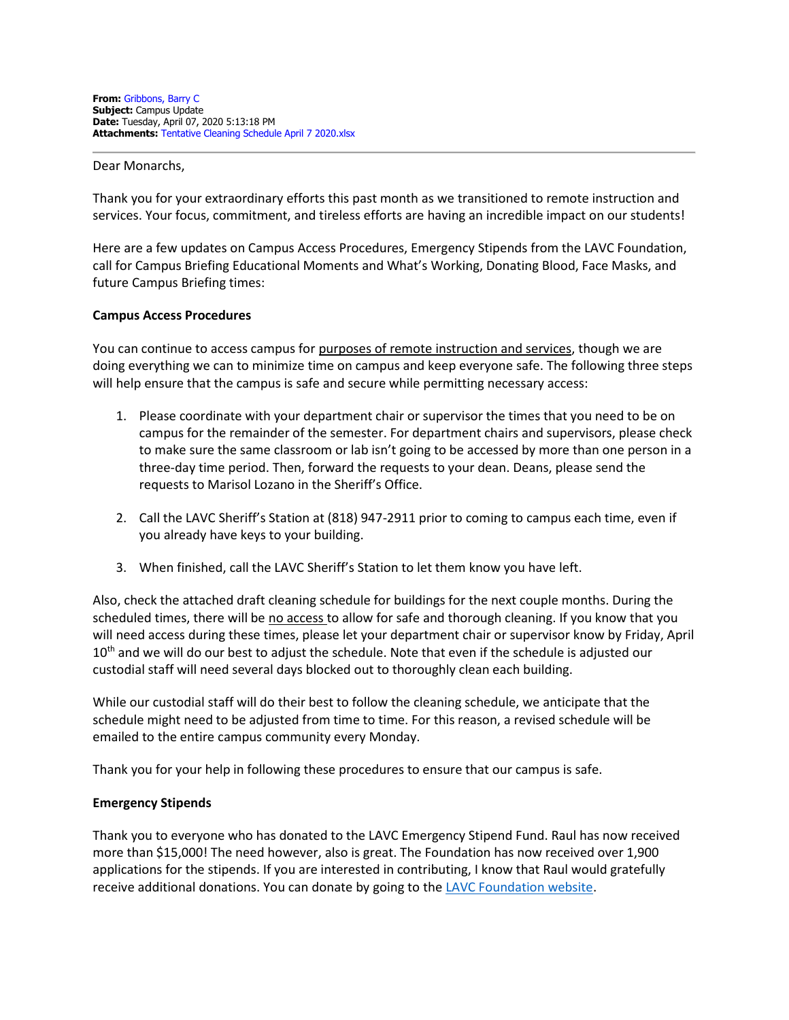Dear Monarchs,

Thank you for your extraordinary efforts this past month as we transitioned to remote instruction and services. Your focus, commitment, and tireless efforts are having an incredible impact on our students!

Here are a few updates on Campus Access Procedures, Emergency Stipends from the LAVC Foundation, call for Campus Briefing Educational Moments and What's Working, Donating Blood, Face Masks, and future Campus Briefing times:

### **Campus Access Procedures**

You can continue to access campus for purposes of remote instruction and services, though we are doing everything we can to minimize time on campus and keep everyone safe. The following three steps will help ensure that the campus is safe and secure while permitting necessary access:

- 1. Please coordinate with your department chair or supervisor the times that you need to be on campus for the remainder of the semester. For department chairs and supervisors, please check to make sure the same classroom or lab isn't going to be accessed by more than one person in a three-day time period. Then, forward the requests to your dean. Deans, please send the requests to Marisol Lozano in the Sheriff's Office.
- 2. Call the LAVC Sheriff's Station at (818) 947-2911 prior to coming to campus each time, even if you already have keys to your building.
- 3. When finished, call the LAVC Sheriff's Station to let them know you have left.

Also, check the attached draft cleaning schedule for buildings for the next couple months. During the scheduled times, there will be no access to allow for safe and thorough cleaning. If you know that you will need access during these times, please let your department chair or supervisor know by Friday, April 10<sup>th</sup> and we will do our best to adjust the schedule. Note that even if the schedule is adjusted our custodial staff will need several days blocked out to thoroughly clean each building.

While our custodial staff will do their best to follow the cleaning schedule, we anticipate that the schedule might need to be adjusted from time to time. For this reason, a revised schedule will be emailed to the entire campus community every Monday.

Thank you for your help in following these procedures to ensure that our campus is safe.

# **Emergency Stipends**

Thank you to everyone who has donated to the LAVC Emergency Stipend Fund. Raul has now received more than \$15,000! The need however, also is great. The Foundation has now received over 1,900 applications for the stipends. If you are interested in contributing, I know that Raul would gratefully receive additional donations. You can donate by going to the [LAVC Foundation website.](http://www.lavcfoundation.org/)